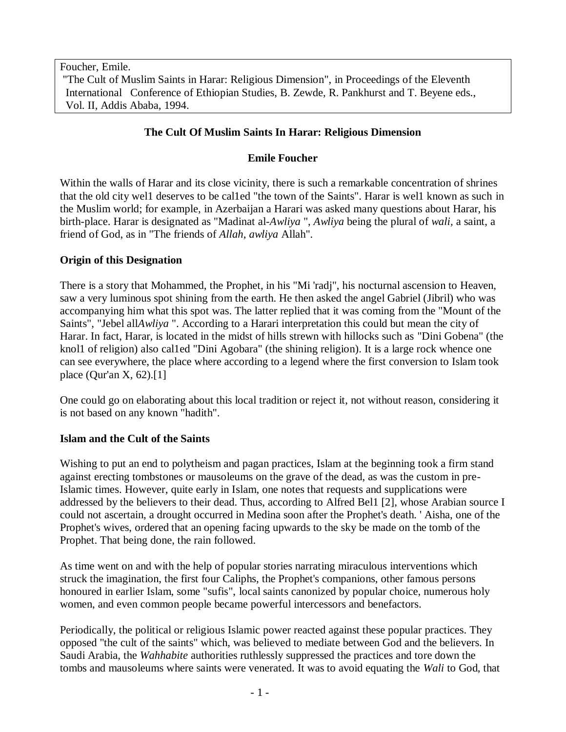Foucher, Emile.

"The Cult of Muslim Saints in Harar: Religious Dimension", in Proceedings of the Eleventh International Conference of Ethiopian Studies, B. Zewde, R. Pankhurst and T. Beyene eds., Vol. II, Addis Ababa, 1994.

# **The Cult Of Muslim Saints In Harar: Religious Dimension**

## **Emile Foucher**

Within the walls of Harar and its close vicinity, there is such a remarkable concentration of shrines that the old city wel1 deserves to be cal1ed "the town of the Saints". Harar is wel1 known as such in the Muslim world; for example, in Azerbaijan a Harari was asked many questions about Harar, his birth-place. Harar is designated as "Madinat al-*Awliya* ", *Awliya* being the plural of *wali,* a saint, a friend of God, as in "The friends of *Allah*, *awliya* Allah".

## **Origin of this Designation**

There is a story that Mohammed, the Prophet, in his "Mi 'radj", his nocturnal ascension to Heaven, saw a very luminous spot shining from the earth. He then asked the angel Gabriel (Jibril) who was accompanying him what this spot was. The latter replied that it was coming from the "Mount of the Saints", "Jebel all*Awliya* ". According to a Harari interpretation this could but mean the city of Harar. In fact, Harar, is located in the midst of hills strewn with hillocks such as "Dini Gobena" (the knol1 of religion) also cal1ed "Dini Agobara" (the shining religion). It is a large rock whence one can see everywhere, the place where according to a legend where the first conversion to Islam took place (Qur'an X, 62).[1]

One could go on elaborating about this local tradition or reject it, not without reason, considering it is not based on any known "hadith".

## **Islam and the Cult of the Saints**

Wishing to put an end to polytheism and pagan practices, Islam at the beginning took a firm stand against erecting tombstones or mausoleums on the grave of the dead, as was the custom in pre-Islamic times. However, quite early in Islam, one notes that requests and supplications were addressed by the believers to their dead. Thus, according to Alfred Bel1 [2], whose Arabian source I could not ascertain, a drought occurred in Medina soon after the Prophet's death. ' Aisha, one of the Prophet's wives, ordered that an opening facing upwards to the sky be made on the tomb of the Prophet. That being done, the rain followed.

As time went on and with the help of popular stories narrating miraculous interventions which struck the imagination, the first four Caliphs, the Prophet's companions, other famous persons honoured in earlier Islam, some "sufis", local saints canonized by popular choice, numerous holy women, and even common people became powerful intercessors and benefactors.

Periodically, the political or religious Islamic power reacted against these popular practices. They opposed "the cult of the saints" which, was believed to mediate between God and the believers. In Saudi Arabia, the *Wahhabite* authorities ruthlessly suppressed the practices and tore down the tombs and mausoleums where saints were venerated. It was to avoid equating the *Wali* to God, that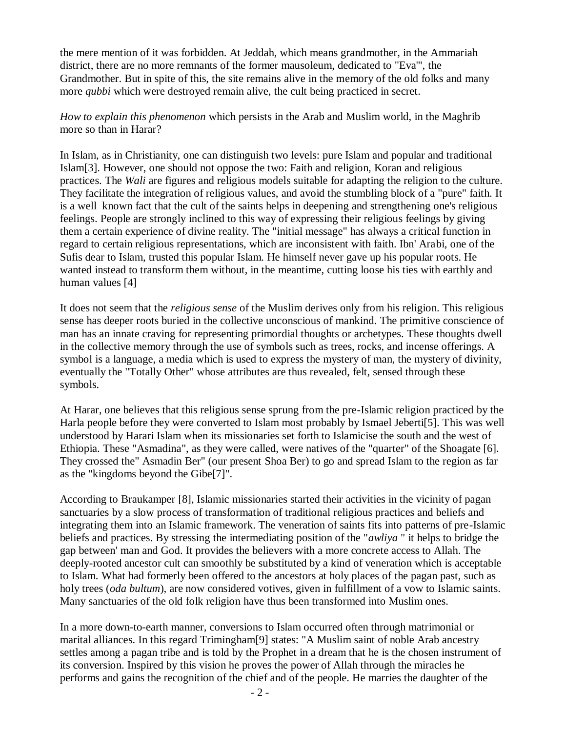the mere mention of it was forbidden. At Jeddah, which means grandmother, in the Ammariah district, there are no more remnants of the former mausoleum, dedicated to "Eva'", the Grandmother. But in spite of this, the site remains alive in the memory of the old folks and many more *qubbi* which were destroyed remain alive, the cult being practiced in secret.

### *How to explain this phenomenon* which persists in the Arab and Muslim world, in the Maghrib more so than in Harar?

In Islam, as in Christianity, one can distinguish two levels: pure Islam and popular and traditional Islam[3]. However, one should not oppose the two: Faith and religion, Koran and religious practices. The *Wali* are figures and religious models suitable for adapting the religion to the culture. They facilitate the integration of religious values, and avoid the stumbling block of a "pure" faith. It is a well known fact that the cult of the saints helps in deepening and strengthening one's religious feelings. People are strongly inclined to this way of expressing their religious feelings by giving them a certain experience of divine reality. The "initial message" has always a critical function in regard to certain religious representations, which are inconsistent with faith. Ibn' Arabi, one of the Sufis dear to Islam, trusted this popular Islam. He himself never gave up his popular roots. He wanted instead to transform them without, in the meantime, cutting loose his ties with earthly and human values [4]

It does not seem that the *religious sense* of the Muslim derives only from his religion. This religious sense has deeper roots buried in the collective unconscious of mankind. The primitive conscience of man has an innate craving for representing primordial thoughts or archetypes. These thoughts dwell in the collective memory through the use of symbols such as trees, rocks, and incense offerings. A symbol is a language, a media which is used to express the mystery of man, the mystery of divinity, eventually the "Totally Other" whose attributes are thus revealed, felt, sensed through these symbols.

At Harar, one believes that this religious sense sprung from the pre-Islamic religion practiced by the Harla people before they were converted to Islam most probably by Ismael Jeberti[5]. This was well understood by Harari Islam when its missionaries set forth to Islamicise the south and the west of Ethiopia. These "Asmadina", as they were called, were natives of the "quarter" of the Shoagate [6]. They crossed the" Asmadin Ber" (our present Shoa Ber) to go and spread Islam to the region as far as the "kingdoms beyond the Gibe[7]".

According to Braukamper [8], Islamic missionaries started their activities in the vicinity of pagan sanctuaries by a slow process of transformation of traditional religious practices and beliefs and integrating them into an Islamic framework. The veneration of saints fits into patterns of pre-Islamic beliefs and practices. By stressing the intermediating position of the "*awliya* " it helps to bridge the gap between' man and God. It provides the believers with a more concrete access to Allah. The deeply-rooted ancestor cult can smoothly be substituted by a kind of veneration which is acceptable to Islam. What had formerly been offered to the ancestors at holy places of the pagan past, such as holy trees (*oda bultum*), are now considered votives, given in fulfillment of a vow to Islamic saints. Many sanctuaries of the old folk religion have thus been transformed into Muslim ones.

In a more down-to-earth manner, conversions to Islam occurred often through matrimonial or marital alliances. In this regard Trimingham[9] states: "A Muslim saint of noble Arab ancestry settles among a pagan tribe and is told by the Prophet in a dream that he is the chosen instrument of its conversion. Inspired by this vision he proves the power of Allah through the miracles he performs and gains the recognition of the chief and of the people. He marries the daughter of the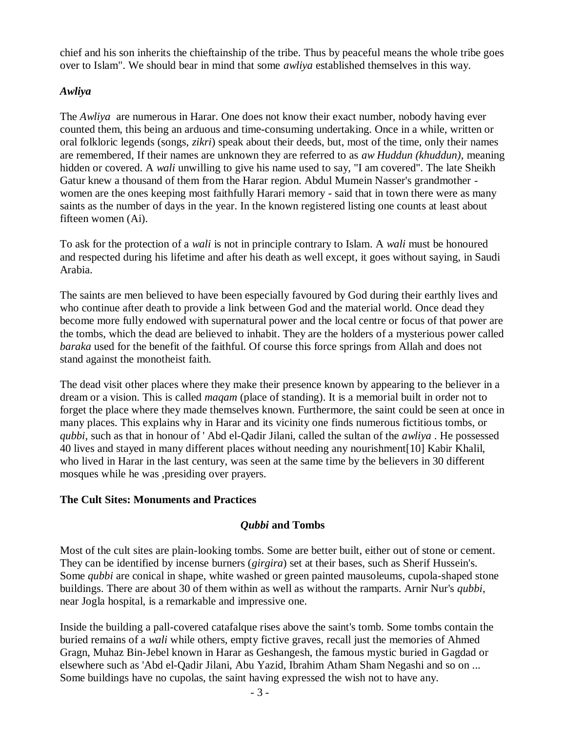chief and his son inherits the chieftainship of the tribe. Thus by peaceful means the whole tribe goes over to Islam". We should bear in mind that some *awliya* established themselves in this way.

## *Awliya*

The *Awliya* are numerous in Harar. One does not know their exact number, nobody having ever counted them, this being an arduous and time-consuming undertaking. Once in a while, written or oral folkloric legends (songs, *zikri*) speak about their deeds, but, most of the time, only their names are remembered, If their names are unknown they are referred to as *aw Huddun (khuddun)*, meaning hidden or covered. A *wali* unwilling to give his name used to say, "I am covered". The late Sheikh Gatur knew a thousand of them from the Harar region. Abdul Mumein Nasser's grandmother women are the ones keeping most faithfully Harari memory - said that in town there were as many saints as the number of days in the year. In the known registered listing one counts at least about fifteen women (Ai).

To ask for the protection of a *wali* is not in principle contrary to Islam. A *wali* must be honoured and respected during his lifetime and after his death as well except, it goes without saying, in Saudi Arabia.

The saints are men believed to have been especially favoured by God during their earthly lives and who continue after death to provide a link between God and the material world. Once dead they become more fully endowed with supernatural power and the local centre or focus of that power are the tombs, which the dead are believed to inhabit. They are the holders of a mysterious power called *baraka* used for the benefit of the faithful. Of course this force springs from Allah and does not stand against the monotheist faith.

The dead visit other places where they make their presence known by appearing to the believer in a dream or a vision. This is called *maqam* (place of standing). It is a memorial built in order not to forget the place where they made themselves known. Furthermore, the saint could be seen at once in many places. This explains why in Harar and its vicinity one finds numerous fictitious tombs, or *qubbi*, such as that in honour of ' Abd el-Qadir Jilani, called the sultan of the *awliya* . He possessed 40 lives and stayed in many different places without needing any nourishment[10] Kabir Khalil, who lived in Harar in the last century, was seen at the same time by the believers in 30 different mosques while he was ,presiding over prayers.

## **The Cult Sites: Monuments and Practices**

# *Qubbi* **and Tombs**

Most of the cult sites are plain-looking tombs. Some are better built, either out of stone or cement. They can be identified by incense burners (*girgira*) set at their bases, such as Sherif Hussein's. Some *qubbi* are conical in shape, white washed or green painted mausoleums, cupola-shaped stone buildings. There are about 30 of them within as well as without the ramparts. Arnir Nur's *qubbi*, near Jogla hospital, is a remarkable and impressive one.

Inside the building a pall-covered catafalque rises above the saint's tomb. Some tombs contain the buried remains of a *wali* while others, empty fictive graves, recall just the memories of Ahmed Gragn, Muhaz Bin-Jebel known in Harar as Geshangesh, the famous mystic buried in Gagdad or elsewhere such as 'Abd el-Qadir Jilani, Abu Yazid, Ibrahim Atham Sham Negashi and so on ... Some buildings have no cupolas, the saint having expressed the wish not to have any.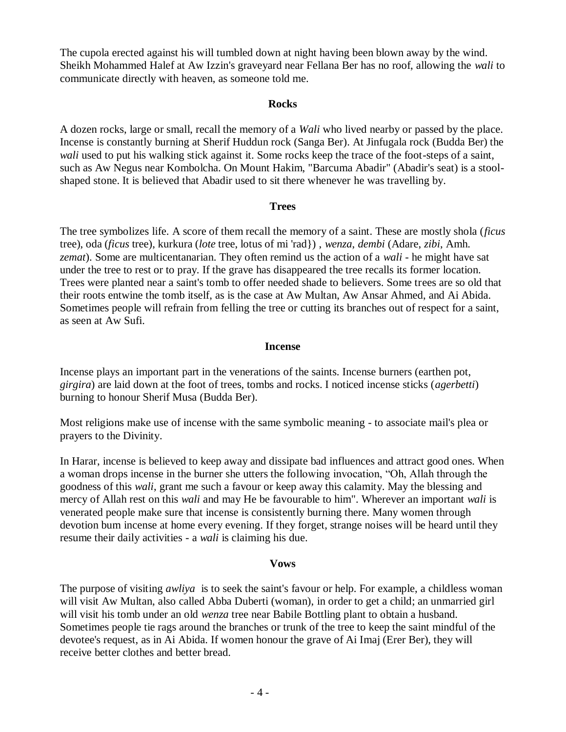The cupola erected against his will tumbled down at night having been blown away by the wind. Sheikh Mohammed Halef at Aw Izzin's graveyard near Fellana Ber has no roof, allowing the *wali* to communicate directly with heaven, as someone told me.

#### **Rocks**

A dozen rocks, large or small, recall the memory of a *Wali* who lived nearby or passed by the place. Incense is constantly burning at Sherif Huddun rock (Sanga Ber). At Jinfugala rock (Budda Ber) the *wali* used to put his walking stick against it. Some rocks keep the trace of the foot-steps of a saint, such as Aw Negus near Kombolcha. On Mount Hakim, "Barcuma Abadir" (Abadir's seat) is a stoolshaped stone. It is believed that Abadir used to sit there whenever he was travelling by.

#### **Trees**

The tree symbolizes life. A score of them recall the memory of a saint. These are mostly shola (*ficus* tree), oda (*ficus* tree), kurkura (*lote* tree, lotus of mi 'rad}) , *wenza*, *dembi* (Adare, *zibi*, Amh. *zemat*). Some are multicentanarian. They often remind us the action of a *wali* - he might have sat under the tree to rest or to pray. If the grave has disappeared the tree recalls its former location. Trees were planted near a saint's tomb to offer needed shade to believers. Some trees are so old that their roots entwine the tomb itself, as is the case at Aw Multan, Aw Ansar Ahmed, and Ai Abida. Sometimes people will refrain from felling the tree or cutting its branches out of respect for a saint, as seen at Aw Sufi.

#### **Incense**

Incense plays an important part in the venerations of the saints. Incense burners (earthen pot, *girgira*) are laid down at the foot of trees, tombs and rocks. I noticed incense sticks (*agerbetti*) burning to honour Sherif Musa (Budda Ber).

Most religions make use of incense with the same symbolic meaning - to associate mail's plea or prayers to the Divinity.

In Harar, incense is believed to keep away and dissipate bad influences and attract good ones. When a woman drops incense in the burner she utters the following invocation, "Oh, Allah through the goodness of this *wali*, grant me such a favour or keep away this calamity. May the blessing and mercy of Allah rest on this *wali* and may He be favourable to him". Wherever an important *wali* is venerated people make sure that incense is consistently burning there. Many women through devotion bum incense at home every evening. If they forget, strange noises will be heard until they resume their daily activities - a *wali* is claiming his due.

### **Vows**

The purpose of visiting *awliya* is to seek the saint's favour or help. For example, a childless woman will visit Aw Multan, also called Abba Duberti (woman), in order to get a child; an unmarried girl will visit his tomb under an old *wenza* tree near Babile Bottling plant to obtain a husband. Sometimes people tie rags around the branches or trunk of the tree to keep the saint mindful of the devotee's request, as in Ai Abida. If women honour the grave of Ai Imaj (Erer Ber), they will receive better clothes and better bread.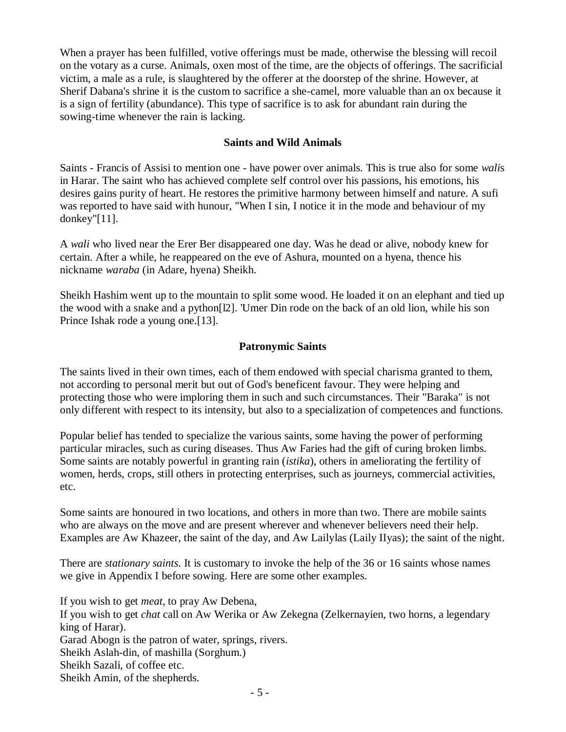When a prayer has been fulfilled, votive offerings must be made, otherwise the blessing will recoil on the votary as a curse. Animals, oxen most of the time, are the objects of offerings. The sacrificial victim, a male as a rule, is slaughtered by the offerer at the doorstep of the shrine. However, at Sherif Dabana's shrine it is the custom to sacrifice a she-camel, more valuable than an ox because it is a sign of fertility (abundance). This type of sacrifice is to ask for abundant rain during the sowing-time whenever the rain is lacking.

### **Saints and Wild Animals**

Saints - Francis of Assisi to mention one - have power over animals. This is true also for some *wali*s in Harar. The saint who has achieved complete self control over his passions, his emotions, his desires gains purity of heart. He restores the primitive harmony between himself and nature. A sufi was reported to have said with hunour, "When I sin, I notice it in the mode and behaviour of my donkey"[11].

A *wali* who lived near the Erer Ber disappeared one day. Was he dead or alive, nobody knew for certain. After a while, he reappeared on the eve of Ashura, mounted on a hyena, thence his nickname *waraba* (in Adare, hyena) Sheikh.

Sheikh Hashim went up to the mountain to split some wood. He loaded it on an elephant and tied up the wood with a snake and a python[l2]. 'Umer Din rode on the back of an old lion, while his son Prince Ishak rode a young one.<sup>[13]</sup>.

### **Patronymic Saints**

The saints lived in their own times, each of them endowed with special charisma granted to them, not according to personal merit but out of God's beneficent favour. They were helping and protecting those who were imploring them in such and such circumstances. Their "Baraka" is not only different with respect to its intensity, but also to a specialization of competences and functions.

Popular belief has tended to specialize the various saints, some having the power of performing particular miracles, such as curing diseases. Thus Aw Faries had the gift of curing broken limbs. Some saints are notably powerful in granting rain (*istika*), others in ameliorating the fertility of women, herds, crops, still others in protecting enterprises, such as journeys, commercial activities, etc.

Some saints are honoured in two locations, and others in more than two. There are mobile saints who are always on the move and are present wherever and whenever believers need their help. Examples are Aw Khazeer, the saint of the day, and Aw Lailylas (Laily IIyas); the saint of the night.

There are *stationary saints*. It is customary to invoke the help of the 36 or 16 saints whose names we give in Appendix I before sowing. Here are some other examples.

If you wish to get *meat*, to pray Aw Debena, If you wish to get *chat* call on Aw Werika or Aw Zekegna (Zelkernayien, two horns, a legendary king of Harar). Garad Abogn is the patron of water, springs, rivers. Sheikh Aslah-din, of mashilla (Sorghum.) Sheikh Sazali, of coffee etc. Sheikh Amin, of the shepherds.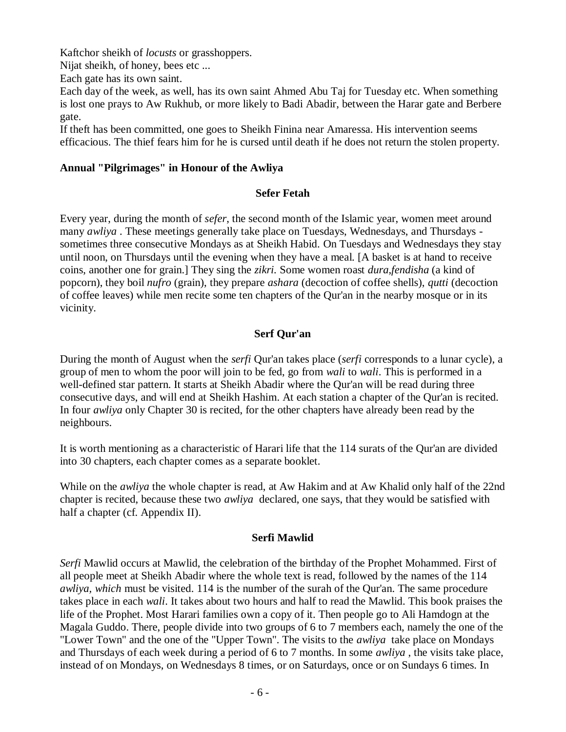Kaftchor sheikh of *locusts* or grasshoppers.

Nijat sheikh, of honey, bees etc ...

Each gate has its own saint.

Each day of the week, as well, has its own saint Ahmed Abu Taj for Tuesday etc. When something is lost one prays to Aw Rukhub, or more likely to Badi Abadir, between the Harar gate and Berbere gate.

If theft has been committed, one goes to Sheikh Finina near Amaressa. His intervention seems efficacious. The thief fears him for he is cursed until death if he does not return the stolen property.

### **Annual "Pilgrimages" in Honour of the Awliya**

### **Sefer Fetah**

Every year, during the month of *sefer*, the second month of the Islamic year, women meet around many *awliya* . These meetings generally take place on Tuesdays, Wednesdays, and Thursdays sometimes three consecutive Mondays as at Sheikh Habid. On Tuesdays and Wednesdays they stay until noon, on Thursdays until the evening when they have a meal. [A basket is at hand to receive coins, another one for grain.] They sing the *zikri.* Some women roast *dura*,*fendisha* (a kind of popcorn), they boil *nufro* (grain), they prepare *ashara* (decoction of coffee shells), *qutti* (decoction of coffee leaves) while men recite some ten chapters of the Qur'an in the nearby mosque or in its vicinity.

## **Serf Qur'an**

During the month of August when the *serfi* Qur'an takes place (*serfi* corresponds to a lunar cycle), a group of men to whom the poor will join to be fed, go from *wali* to *wali*. This is performed in a well-defined star pattern. It starts at Sheikh Abadir where the Qur'an will be read during three consecutive days, and will end at Sheikh Hashim. At each station a chapter of the Qur'an is recited. In four *awliya* only Chapter 30 is recited, for the other chapters have already been read by the neighbours.

It is worth mentioning as a characteristic of Harari life that the 114 surats of the Qur'an are divided into 30 chapters, each chapter comes as a separate booklet.

While on the *awliya* the whole chapter is read, at Aw Hakim and at Aw Khalid only half of the 22nd chapter is recited, because these two *awliya* declared, one says, that they would be satisfied with half a chapter (cf. Appendix II).

### **Serfi Mawlid**

*Serfi* Mawlid occurs at Mawlid, the celebration of the birthday of the Prophet Mohammed. First of all people meet at Sheikh Abadir where the whole text is read, followed by the names of the 114 *awliya, which* must be visited. 114 is the number of the surah of the Qur'an. The same procedure takes place in each *wali*. It takes about two hours and half to read the Mawlid. This book praises the life of the Prophet. Most Harari families own a copy of it. Then people go to Ali Hamdogn at the Magala Guddo. There, people divide into two groups of 6 to 7 members each, namely the one of the "Lower Town" and the one of the "Upper Town". The visits to the *awliya* take place on Mondays and Thursdays of each week during a period of 6 to 7 months. In some *awliya* , the visits take place, instead of on Mondays, on Wednesdays 8 times, or on Saturdays, once or on Sundays 6 times. In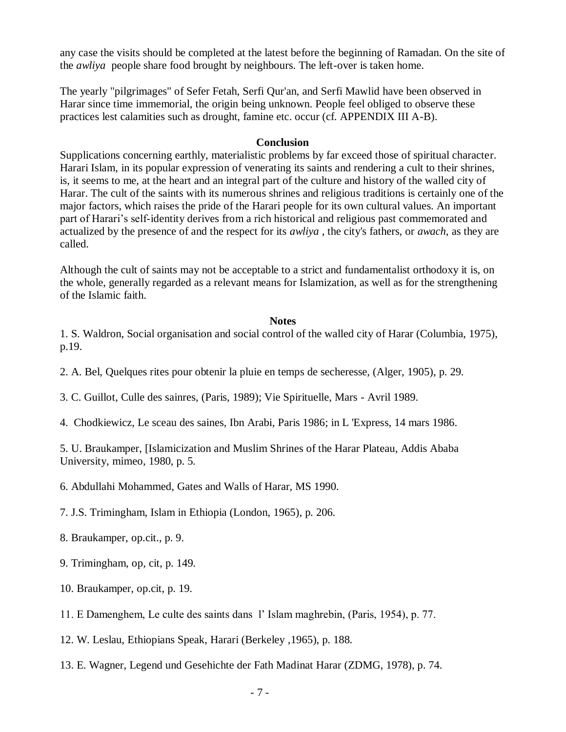any case the visits should be completed at the latest before the beginning of Ramadan. On the site of the *awliya* people share food brought by neighbours. The left-over is taken home.

The yearly "pilgrimages" of Sefer Fetah, Serfi Qur'an, and Serfi Mawlid have been observed in Harar since time immemorial, the origin being unknown. People feel obliged to observe these practices lest calamities such as drought, famine etc. occur (cf. APPENDIX III A-B).

#### **Conclusion**

Supplications concerning earthly, materialistic problems by far exceed those of spiritual character. Harari Islam, in its popular expression of venerating its saints and rendering a cult to their shrines, is, it seems to me, at the heart and an integral part of the culture and history of the walled city of Harar. The cult of the saints with its numerous shrines and religious traditions is certainly one of the major factors, which raises the pride of the Harari people for its own cultural values. An important part of Harari's self-identity derives from a rich historical and religious past commemorated and actualized by the presence of and the respect for its *awliya* , the city's fathers, or *awach*, as they are called.

Although the cult of saints may not be acceptable to a strict and fundamentalist orthodoxy it is, on the whole, generally regarded as a relevant means for Islamization, as well as for the strengthening of the Islamic faith.

#### **Notes**

- 1. S. Waldron, Social organisation and social control of the walled city of Harar (Columbia, 1975), p.19.
- 2. A. Bel, Quelques rites pour obtenir la pluie en temps de secheresse, (Alger, 1905), p. 29.
- 3. C. Guillot, Culle des sainres, (Paris, 1989); Vie Spirituelle, Mars Avril 1989.
- 4. Chodkiewicz, Le sceau des saines, Ibn Arabi, Paris 1986; in L 'Express, 14 mars 1986.

5. U. Braukamper, [Islamicization and Muslim Shrines of the Harar Plateau, Addis Ababa University, mimeo, 1980, p. 5.

- 6. Abdullahi Mohammed, Gates and Walls of Harar, MS 1990.
- 7. J.S. Trimingham, Islam in Ethiopia (London, 1965), p. 206.
- 8. Braukamper, op.cit., p. 9.
- 9. Trimingham, op, cit, p. 149.
- 10. Braukamper, op.cit, p. 19.
- 11. E Damenghem, Le culte des saints dans l' Islam maghrebin, (Paris, 1954), p. 77.
- 12. W. Leslau, Ethiopians Speak, Harari (Berkeley ,1965), p. 188.
- 13. E. Wagner, Legend und Gesehichte der Fath Madinat Harar (ZDMG, 1978), p. 74.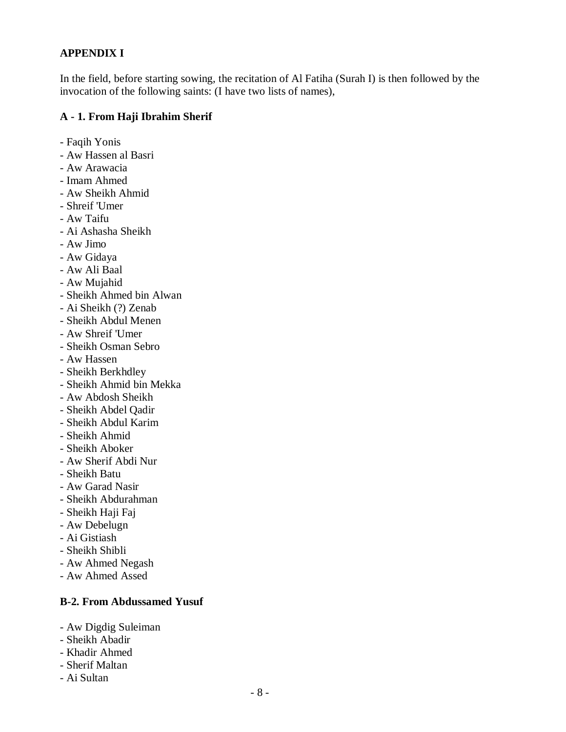# **APPENDIX I**

In the field, before starting sowing, the recitation of Al Fatiha (Surah I) is then followed by the invocation of the following saints: (I have two lists of names),

## **A - 1. From Haji Ibrahim Sherif**

- Faqih Yonis
- Aw Hassen al Basri
- Aw Arawacia
- Imam Ahmed
- Aw Sheikh Ahmid
- Shreif 'Umer
- Aw Taifu
- Ai Ashasha Sheikh
- Aw Jimo
- Aw Gidaya
- Aw Ali Baal
- Aw Mujahid
- Sheikh Ahmed bin Alwan
- Ai Sheikh (?) Zenab
- Sheikh Abdul Menen
- Aw Shreif 'Umer
- Sheikh Osman Sebro
- Aw Hassen
- Sheikh Berkhdley
- Sheikh Ahmid bin Mekka
- Aw Abdosh Sheikh
- Sheikh Abdel Qadir
- Sheikh Abdul Karim
- Sheikh Ahmid
- Sheikh Aboker
- Aw Sherif Abdi Nur
- Sheikh Batu
- Aw Garad Nasir
- Sheikh Abdurahman
- Sheikh Haji Faj
- Aw Debelugn
- Ai Gistiash
- Sheikh Shibli
- Aw Ahmed Negash
- Aw Ahmed Assed

## **B-2. From Abdussamed Yusuf**

- Aw Digdig Suleiman
- Sheikh Abadir
- Khadir Ahmed
- Sherif Maltan
- Ai Sultan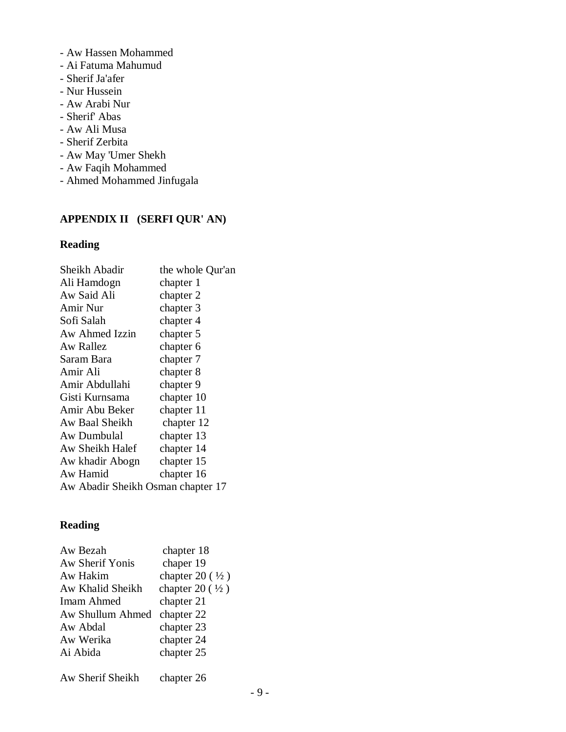- Aw Hassen Mohammed
- Ai Fatuma Mahumud
- Sherif Ja'afer
- Nur Hussein
- Aw Arabi Nur
- Sherif' Abas
- Aw Ali Musa
- Sherif Zerbita
- Aw May 'Umer Shekh
- Aw Faqih Mohammed
- Ahmed Mohammed Jinfugala

# **APPENDIX II (SERFI QUR' AN)**

# **Reading**

| Sheikh Abadir                     | the whole Qur'an |  |
|-----------------------------------|------------------|--|
| Ali Hamdogn                       | chapter 1        |  |
| Aw Said Ali                       | chapter 2        |  |
| Amir Nur                          | chapter 3        |  |
| Sofi Salah                        | chapter 4        |  |
| Aw Ahmed Izzin                    | chapter 5        |  |
| Aw Rallez                         | chapter 6        |  |
| Saram Bara                        | chapter 7        |  |
| Amir Ali                          | chapter 8        |  |
| Amir Abdullahi                    | chapter 9        |  |
| Gisti Kurnsama                    | chapter 10       |  |
| Amir Abu Beker                    | chapter 11       |  |
| Aw Baal Sheikh                    | chapter 12       |  |
| Aw Dumbulal                       | chapter 13       |  |
| Aw Sheikh Halef                   | chapter 14       |  |
| Aw khadir Abogn                   | chapter 15       |  |
| Aw Hamid                          | chapter 16       |  |
| Aw Abadir Sheikh Osman chapter 17 |                  |  |
|                                   |                  |  |

# **Reading**

| Aw Bezah          | chapter 18        |
|-------------------|-------------------|
| Aw Sherif Yonis   | chaper 19         |
| Aw Hakim          | chapter $20(1/2)$ |
| Aw Khalid Sheikh  | chapter $20(1/2)$ |
| <b>Imam Ahmed</b> | chapter 21        |
| Aw Shullum Ahmed  | chapter 22        |
| Aw Abdal          | chapter 23        |
| Aw Werika         | chapter 24        |
| Ai Abida          | chapter 25        |
| Aw Sherif Sheikh  | chapter 26        |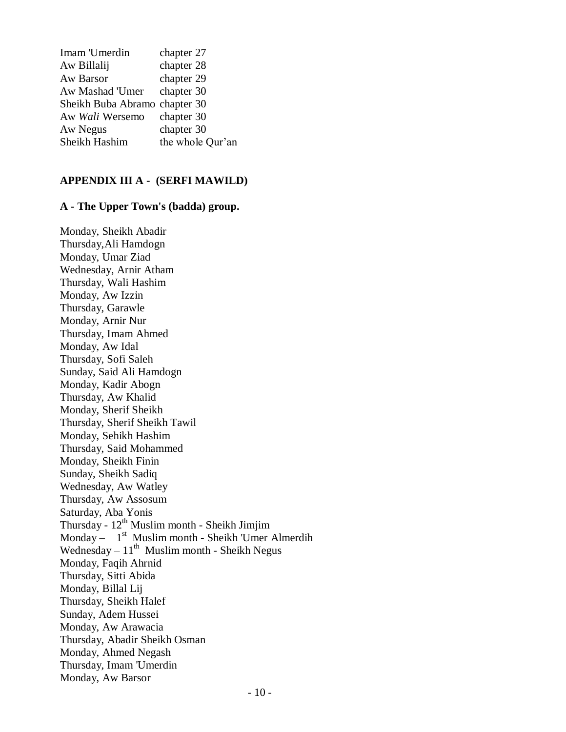| Imam 'Umerdin                 | chapter 27       |
|-------------------------------|------------------|
| Aw Billalij                   | chapter 28       |
| Aw Barsor                     | chapter 29       |
| Aw Mashad 'Umer               | chapter 30       |
| Sheikh Buba Abramo chapter 30 |                  |
| Aw Wali Wersemo               | chapter 30       |
| Aw Negus                      | chapter 30       |
| Sheikh Hashim                 | the whole Qur'an |

#### **APPENDIX III A - (SERFI MAWILD)**

### **A - The Upper Town's (badda) group.**

Monday, Sheikh Abadir Thursday,Ali Hamdogn Monday, Umar Ziad Wednesday, Arnir Atham Thursday, Wali Hashim Monday, Aw Izzin Thursday, Garawle Monday, Arnir Nur Thursday, Imam Ahmed Monday, Aw Idal Thursday, Sofi Saleh Sunday, Said Ali Hamdogn Monday, Kadir Abogn Thursday, Aw Khalid Monday, Sherif Sheikh Thursday, Sherif Sheikh Tawil Monday, Sehikh Hashim Thursday, Said Mohammed Monday, Sheikh Finin Sunday, Sheikh Sadiq Wednesday, Aw Watley Thursday, Aw Assosum Saturday, Aba Yonis Thursday -  $12^{th}$  Muslim month - Sheikh Jimjim Monday – 1<sup>st</sup> Muslim month - Sheikh 'Umer Almerdih Wednesday  $-11<sup>th</sup>$  Muslim month - Sheikh Negus Monday, Faqih Ahrnid Thursday, Sitti Abida Monday, Billal Lij Thursday, Sheikh Halef Sunday, Adem Hussei Monday, Aw Arawacia Thursday, Abadir Sheikh Osman Monday, Ahmed Negash Thursday, Imam 'Umerdin Monday, Aw Barsor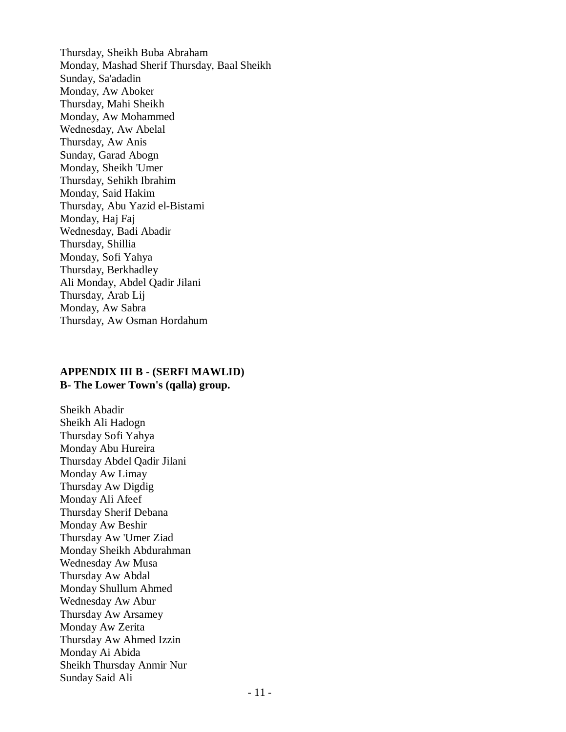Thursday, Sheikh Buba Abraham Monday, Mashad Sherif Thursday, Baal Sheikh Sunday, Sa'adadin Monday, Aw Aboker Thursday, Mahi Sheikh Monday, Aw Mohammed Wednesday, Aw Abelal Thursday, Aw Anis Sunday, Garad Abogn Monday, Sheikh 'Umer Thursday, Sehikh Ibrahim Monday, Said Hakim Thursday, Abu Yazid el-Bistami Monday, Haj Faj Wednesday, Badi Abadir Thursday, Shillia Monday, Sofi Yahya Thursday, Berkhadley Ali Monday, Abdel Qadir Jilani Thursday, Arab Lij Monday, Aw Sabra Thursday, Aw Osman Hordahum

#### **APPENDIX III B - (SERFI MAWLID) B- The Lower Town's (qalla) group.**

Sheikh Abadir Sheikh Ali Hadogn Thursday Sofi Yahya Monday Abu Hureira Thursday Abdel Qadir Jilani Monday Aw Limay Thursday Aw Digdig Monday Ali Afeef Thursday Sherif Debana Monday Aw Beshir Thursday Aw 'Umer Ziad Monday Sheikh Abdurahman Wednesday Aw Musa Thursday Aw Abdal Monday Shullum Ahmed Wednesday Aw Abur Thursday Aw Arsamey Monday Aw Zerita Thursday Aw Ahmed Izzin Monday Ai Abida Sheikh Thursday Anmir Nur Sunday Said Ali